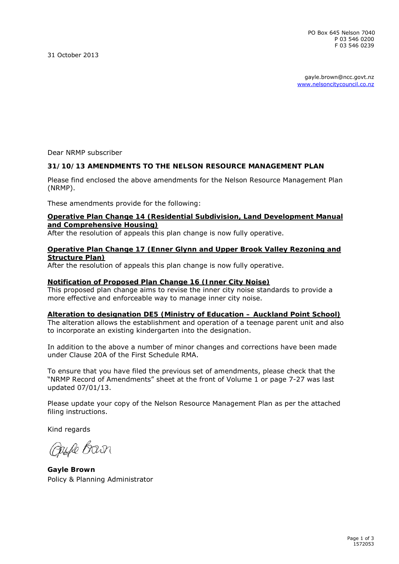PO Box 645 Nelson 7040 P 03 546 0200 F 03 546 0239

31 October 2013

gayle.brown@ncc.govt.nz [www.nelsoncitycouncil.co.nz](http://www.nelsoncitycouncil.co.nz/) 

Dear NRMP subscriber

#### **31/10/13 AMENDMENTS TO THE NELSON RESOURCE MANAGEMENT PLAN**

Please find enclosed the above amendments for the Nelson Resource Management Plan (NRMP).

These amendments provide for the following:

#### **Operative Plan Change 14 (Residential Subdivision, Land Development Manual and Comprehensive Housing)**

After the resolution of appeals this plan change is now fully operative.

#### **Operative Plan Change 17 (Enner Glynn and Upper Brook Valley Rezoning and Structure Plan)**

After the resolution of appeals this plan change is now fully operative.

#### **Notification of Proposed Plan Change 16 (Inner City Noise)**

This proposed plan change aims to revise the inner city noise standards to provide a more effective and enforceable way to manage inner city noise.

#### **Alteration to designation DE5 (Ministry of Education – Auckland Point School)**

The alteration allows the establishment and operation of a teenage parent unit and also to incorporate an existing kindergarten into the designation.

In addition to the above a number of minor changes and corrections have been made under Clause 20A of the First Schedule RMA.

To ensure that you have filed the previous set of amendments, please check that the "NRMP Record of Amendments" sheet at the front of Volume 1 or page 7-27 was last updated 07/01/13.

Please update your copy of the Nelson Resource Management Plan as per the attached filing instructions.

Kind regards

Ouse Barn

**Gayle Brown** Policy & Planning Administrator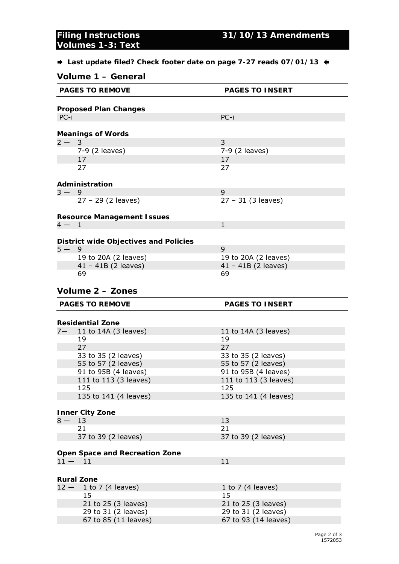# **Volumes 1-3: Text**

 **Last update filed? Check footer date on page 7-27 reads 07/01/13** 

| Volume 1 - General |                                                                    |                                                                    |  |  |  |
|--------------------|--------------------------------------------------------------------|--------------------------------------------------------------------|--|--|--|
|                    | <b>PAGES TO REMOVE</b>                                             | <b>PAGES TO INSERT</b>                                             |  |  |  |
|                    | <b>Proposed Plan Changes</b>                                       |                                                                    |  |  |  |
| $PC-i$             |                                                                    | PC-i                                                               |  |  |  |
|                    |                                                                    |                                                                    |  |  |  |
|                    | <b>Meanings of Words</b>                                           |                                                                    |  |  |  |
| $2 - 3$            |                                                                    | 3                                                                  |  |  |  |
|                    | 7-9 (2 leaves)                                                     | 7-9 (2 leaves)                                                     |  |  |  |
|                    | 17                                                                 | 17                                                                 |  |  |  |
|                    | 27                                                                 | 27                                                                 |  |  |  |
|                    |                                                                    |                                                                    |  |  |  |
| $3 - 9$            | Administration                                                     | 9                                                                  |  |  |  |
|                    | $27 - 29$ (2 leaves)                                               |                                                                    |  |  |  |
|                    |                                                                    | $27 - 31$ (3 leaves)                                               |  |  |  |
|                    | <b>Resource Management Issues</b>                                  |                                                                    |  |  |  |
| $4 - 1$            |                                                                    | $\mathbf{1}$                                                       |  |  |  |
|                    |                                                                    |                                                                    |  |  |  |
|                    | <b>District wide Objectives and Policies</b>                       |                                                                    |  |  |  |
| $5 - 9$            |                                                                    | 9                                                                  |  |  |  |
|                    | 19 to 20A (2 leaves)                                               | 19 to 20A (2 leaves)                                               |  |  |  |
|                    | $41 - 41B$ (2 leaves)                                              | $41 - 41B$ (2 leaves)                                              |  |  |  |
|                    | 69                                                                 | 69                                                                 |  |  |  |
|                    | Volume 2 - Zones                                                   |                                                                    |  |  |  |
|                    |                                                                    |                                                                    |  |  |  |
|                    |                                                                    |                                                                    |  |  |  |
|                    | <b>PAGES TO REMOVE</b>                                             | <b>PAGES TO INSERT</b>                                             |  |  |  |
|                    |                                                                    |                                                                    |  |  |  |
|                    | <b>Residential Zone</b>                                            |                                                                    |  |  |  |
|                    | $7 - 11$ to 14A (3 leaves)                                         | 11 to 14A (3 leaves)                                               |  |  |  |
|                    | 19                                                                 | 19                                                                 |  |  |  |
|                    | 27                                                                 | 27                                                                 |  |  |  |
|                    | 33 to 35 (2 leaves)                                                | 33 to 35 (2 leaves)                                                |  |  |  |
|                    | 55 to 57 (2 leaves)                                                | 55 to 57 (2 leaves)                                                |  |  |  |
|                    | 91 to 95B (4 leaves)                                               | 91 to 95B (4 leaves)<br>111 to 113 (3 leaves)                      |  |  |  |
|                    | 111 to 113 (3 leaves)<br>125                                       | 125                                                                |  |  |  |
|                    | 135 to 141 (4 leaves)                                              | 135 to 141 (4 leaves)                                              |  |  |  |
|                    |                                                                    |                                                                    |  |  |  |
|                    | <b>Inner City Zone</b>                                             |                                                                    |  |  |  |
| $8-$               | 13                                                                 | 13                                                                 |  |  |  |
|                    | 21                                                                 | 21                                                                 |  |  |  |
|                    | 37 to 39 (2 leaves)                                                | 37 to 39 (2 leaves)                                                |  |  |  |
|                    |                                                                    |                                                                    |  |  |  |
|                    | Open Space and Recreation Zone                                     |                                                                    |  |  |  |
| $11 -$             | 11                                                                 | 11                                                                 |  |  |  |
|                    |                                                                    |                                                                    |  |  |  |
|                    | <b>Rural Zone</b>                                                  |                                                                    |  |  |  |
| $12 -$             | 1 to 7 $(4 \text{ leaves})$<br>15                                  | 1 to 7 (4 leaves)<br>15                                            |  |  |  |
|                    |                                                                    |                                                                    |  |  |  |
|                    | 21 to 25 (3 leaves)<br>29 to 31 (2 leaves)<br>67 to 85 (11 leaves) | 21 to 25 (3 leaves)<br>29 to 31 (2 leaves)<br>67 to 93 (14 leaves) |  |  |  |